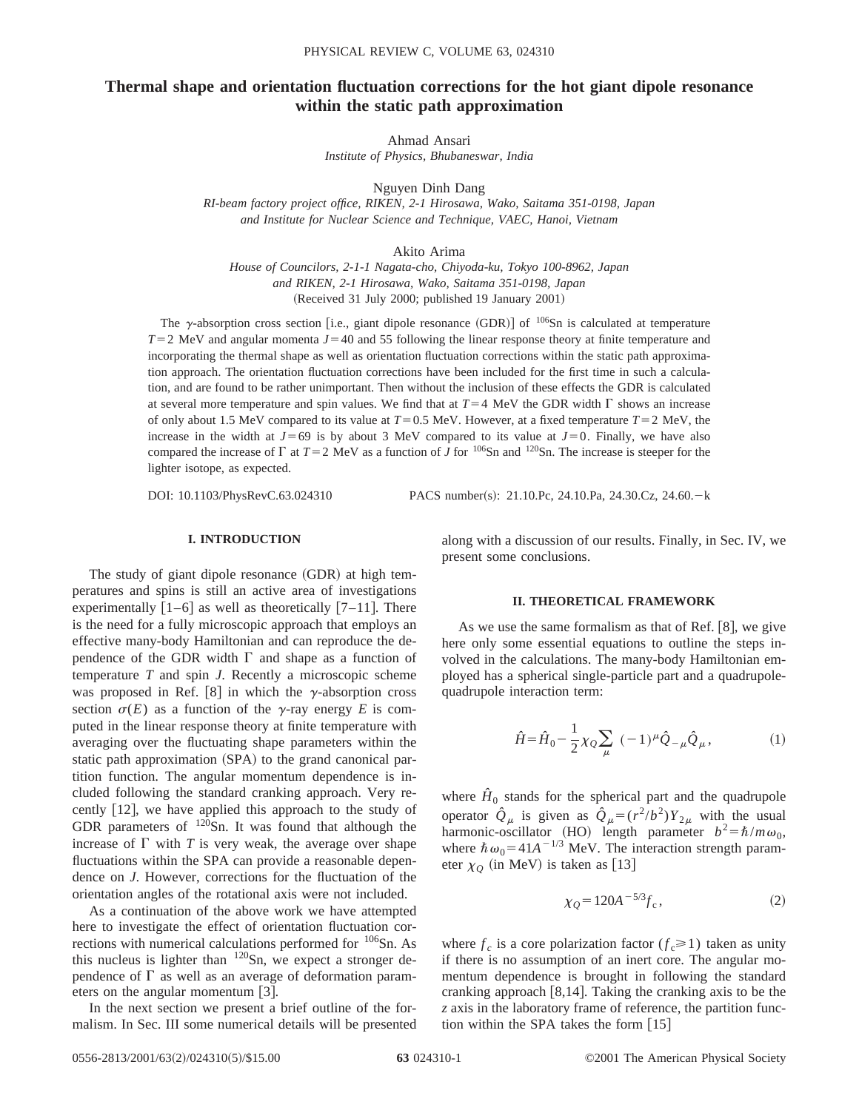# **Thermal shape and orientation fluctuation corrections for the hot giant dipole resonance within the static path approximation**

Ahmad Ansari *Institute of Physics, Bhubaneswar, India*

Nguyen Dinh Dang

*RI-beam factory project office, RIKEN, 2-1 Hirosawa, Wako, Saitama 351-0198, Japan and Institute for Nuclear Science and Technique, VAEC, Hanoi, Vietnam*

Akito Arima

*House of Councilors, 2-1-1 Nagata-cho, Chiyoda-ku, Tokyo 100-8962, Japan and RIKEN, 2-1 Hirosawa, Wako, Saitama 351-0198, Japan*  $(Received 31 July 2000; published 19 January 2001)$ 

The  $\gamma$ -absorption cross section [i.e., giant dipole resonance (GDR)] of  $^{106}$ Sn is calculated at temperature  $T=2$  MeV and angular momenta  $J=40$  and 55 following the linear response theory at finite temperature and incorporating the thermal shape as well as orientation fluctuation corrections within the static path approximation approach. The orientation fluctuation corrections have been included for the first time in such a calculation, and are found to be rather unimportant. Then without the inclusion of these effects the GDR is calculated at several more temperature and spin values. We find that at  $T=4$  MeV the GDR width  $\Gamma$  shows an increase of only about 1.5 MeV compared to its value at  $T=0.5$  MeV. However, at a fixed temperature  $T=2$  MeV, the increase in the width at  $J=69$  is by about 3 MeV compared to its value at  $J=0$ . Finally, we have also compared the increase of  $\Gamma$  at  $T=2$  MeV as a function of *J* for <sup>106</sup>Sn and <sup>120</sup>Sn. The increase is steeper for the lighter isotope, as expected.

DOI:  $10.1103/PhysRevC.63.024310$  PACS number(s): 21.10.Pc, 24.10.Pa, 24.30.Cz, 24.60. - k

# **I. INTRODUCTION**

The study of giant dipole resonance  $(GDR)$  at high temperatures and spins is still an active area of investigations experimentally  $[1-6]$  as well as theoretically  $[7-11]$ . There is the need for a fully microscopic approach that employs an effective many-body Hamiltonian and can reproduce the dependence of the GDR width  $\Gamma$  and shape as a function of temperature *T* and spin *J*. Recently a microscopic scheme was proposed in Ref. [8] in which the  $\gamma$ -absorption cross section  $\sigma(E)$  as a function of the y-ray energy *E* is computed in the linear response theory at finite temperature with averaging over the fluctuating shape parameters within the static path approximation (SPA) to the grand canonical partition function. The angular momentum dependence is included following the standard cranking approach. Very recently  $[12]$ , we have applied this approach to the study of GDR parameters of  $120$ Sn. It was found that although the increase of  $\Gamma$  with  $T$  is very weak, the average over shape fluctuations within the SPA can provide a reasonable dependence on *J*. However, corrections for the fluctuation of the orientation angles of the rotational axis were not included.

As a continuation of the above work we have attempted here to investigate the effect of orientation fluctuation corrections with numerical calculations performed for  $106$ Sn. As this nucleus is lighter than  $120$ Sn, we expect a stronger dependence of  $\Gamma$  as well as an average of deformation parameters on the angular momentum  $[3]$ .

In the next section we present a brief outline of the formalism. In Sec. III some numerical details will be presented along with a discussion of our results. Finally, in Sec. IV, we present some conclusions.

### **II. THEORETICAL FRAMEWORK**

As we use the same formalism as that of Ref.  $[8]$ , we give here only some essential equations to outline the steps involved in the calculations. The many-body Hamiltonian employed has a spherical single-particle part and a quadrupolequadrupole interaction term:

$$
\hat{H} = \hat{H}_0 - \frac{1}{2} \chi_Q \sum_{\mu} (-1)^{\mu} \hat{Q}_{-\mu} \hat{Q}_{\mu}, \qquad (1)
$$

where  $\hat{H}_0$  stands for the spherical part and the quadrupole operator  $\hat{Q}_{\mu}$  is given as  $\hat{Q}_{\mu} = (r^2/b^2)Y_{2\mu}$  with the usual harmonic-oscillator (HO) length parameter  $b^2 = \hbar/m\omega_0$ , where  $\hbar \omega_0 = 41A^{-1/3}$  MeV. The interaction strength parameter  $\chi_0$  (in MeV) is taken as [13]

$$
\chi_Q = 120A^{-5/3} f_c, \qquad (2)
$$

where  $f_c$  is a core polarization factor  $(f_c \ge 1)$  taken as unity if there is no assumption of an inert core. The angular momentum dependence is brought in following the standard cranking approach  $[8,14]$ . Taking the cranking axis to be the *z* axis in the laboratory frame of reference, the partition function within the SPA takes the form  $[15]$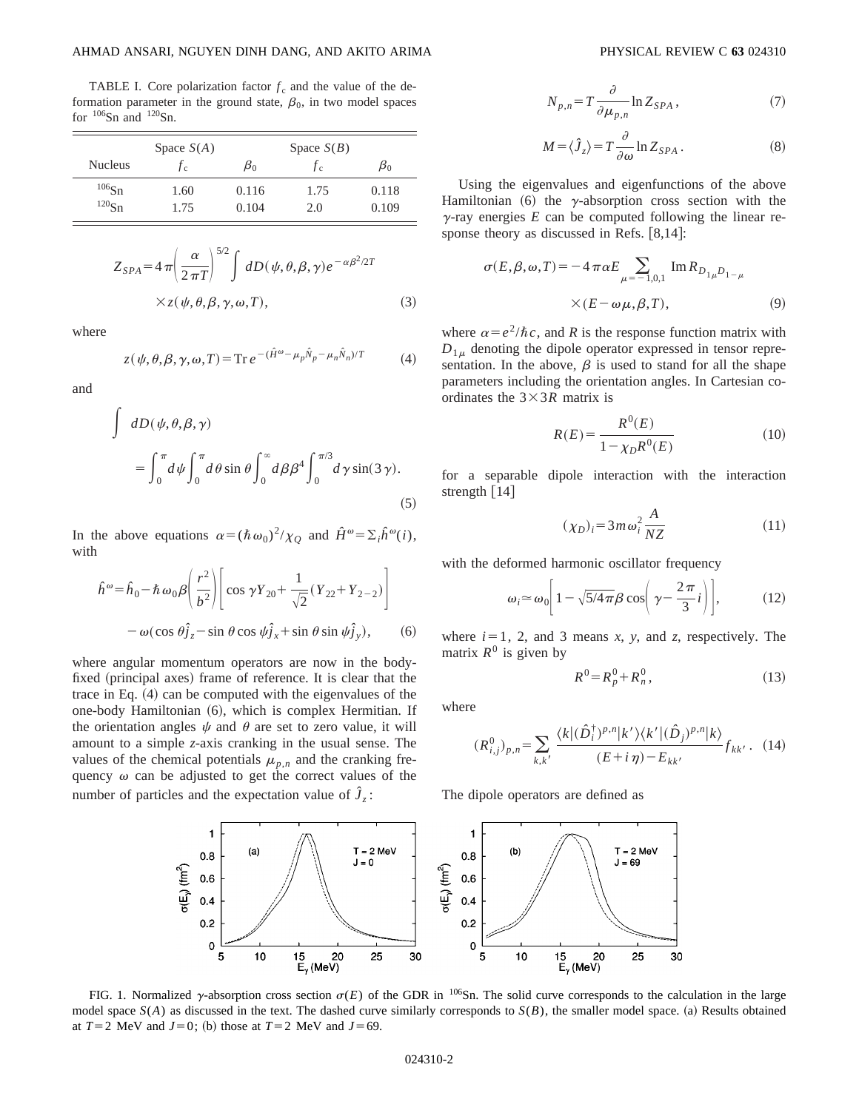TABLE I. Core polarization factor  $f_c$  and the value of the deformation parameter in the ground state,  $\beta_0$ , in two model spaces for  $106$ Sn and  $120$ Sn.

|                                 | Space $S(A)$ |                | Space $S(B)$ |                |
|---------------------------------|--------------|----------------|--------------|----------------|
| <b>Nucleus</b>                  | Jс           | $\beta_0$      | Jс           | $\mu_0$        |
| $106$ Sn<br>$^{120}\mathrm{Sn}$ | 1.60<br>1.75 | 0.116<br>0.104 | 1.75<br>2.0  | 0.118<br>0.109 |
|                                 |              |                |              |                |

$$
Z_{SPA} = 4 \pi \left(\frac{\alpha}{2 \pi T}\right)^{5/2} \int dD(\psi, \theta, \beta, \gamma) e^{-\alpha \beta^2 / 2T}
$$
  
× $z(\psi, \theta, \beta, \gamma, \omega, T),$  (3)

where

$$
z(\psi, \theta, \beta, \gamma, \omega, T) = \text{Tr } e^{-(\hat{H}^{\omega} - \mu_p \hat{N}_p - \mu_n \hat{N}_n)/T}
$$
(4)

and

$$
\int dD(\psi, \theta, \beta, \gamma)
$$
  
= 
$$
\int_0^{\pi} d\psi \int_0^{\pi} d\theta \sin \theta \int_0^{\infty} d\beta \beta^4 \int_0^{\pi/3} d\gamma \sin(3\gamma).
$$
 (5)

In the above equations  $\alpha = (\hbar \omega_0)^2 / \chi_0$  and  $\hat{H}^\omega = \Sigma_i \hat{h}^\omega(i)$ , with

$$
\hat{h}^{\omega} = \hat{h}_0 - \hbar \omega_0 \beta \left( \frac{r^2}{b^2} \right) \left[ \cos \gamma Y_{20} + \frac{1}{\sqrt{2}} (Y_{22} + Y_{2-2}) \right]
$$

$$
- \omega (\cos \theta) \hat{j}_z - \sin \theta \cos \psi \hat{j}_x + \sin \theta \sin \psi \hat{j}_y), \qquad (6)
$$

where angular momentum operators are now in the bodyfixed (principal axes) frame of reference. It is clear that the trace in Eq.  $(4)$  can be computed with the eigenvalues of the one-body Hamiltonian (6), which is complex Hermitian. If the orientation angles  $\psi$  and  $\theta$  are set to zero value, it will amount to a simple *z*-axis cranking in the usual sense. The values of the chemical potentials  $\mu_{p,n}$  and the cranking frequency  $\omega$  can be adjusted to get the correct values of the number of particles and the expectation value of  $\hat{J}_z$ :

$$
N_{p,n} = T \frac{\partial}{\partial \mu_{p,n}} \ln Z_{SPA} \,, \tag{7}
$$

$$
M = \langle \hat{J}_z \rangle = T \frac{\partial}{\partial \omega} \ln Z_{SPA} . \tag{8}
$$

Using the eigenvalues and eigenfunctions of the above Hamiltonian  $(6)$  the  $\gamma$ -absorption cross section with the  $\gamma$ -ray energies  $E$  can be computed following the linear response theory as discussed in Refs.  $[8,14]$ :

$$
\sigma(E,\beta,\omega,T) = -4\pi\alpha E \sum_{\mu=-1,0,1} \text{Im} R_{D_{1\mu}D_{1-\mu}}
$$
  
× $(E-\omega\mu,\beta,T)$ , (9)

where  $\alpha = e^2/\hbar c$ , and *R* is the response function matrix with  $D_{1\mu}$  denoting the dipole operator expressed in tensor representation. In the above,  $\beta$  is used to stand for all the shape parameters including the orientation angles. In Cartesian coordinates the  $3 \times 3R$  matrix is

$$
R(E) = \frac{R^0(E)}{1 - \chi_D R^0(E)}\tag{10}
$$

for a separable dipole interaction with the interaction strength  $[14]$ 

$$
(\chi_D)_i = 3m\omega_i^2 \frac{A}{NZ} \tag{11}
$$

with the deformed harmonic oscillator frequency

$$
\omega_i \approx \omega_0 \left[ 1 - \sqrt{5/4\pi} \beta \cos\left(\gamma - \frac{2\pi}{3}i\right) \right],\tag{12}
$$

where  $i=1$ , 2, and 3 means *x*, *y*, and *z*, respectively. The matrix  $R^0$  is given by

$$
R^0 = R_p^0 + R_n^0, \tag{13}
$$

where

$$
(R^{0}_{i,j})_{p,n} = \sum_{k,k'} \frac{\langle k | (\hat{D}_{i}^{\dagger})^{p,n} | k' \rangle \langle k' | (\hat{D}_{j})^{p,n} | k \rangle}{(E+i\eta) - E_{kk'}} f_{kk'}.
$$
 (14)

The dipole operators are defined as



FIG. 1. Normalized y-absorption cross section  $\sigma(E)$  of the GDR in <sup>106</sup>Sn. The solid curve corresponds to the calculation in the large model space  $S(A)$  as discussed in the text. The dashed curve similarly corresponds to  $S(B)$ , the smaller model space. (a) Results obtained at  $T=2$  MeV and  $J=0$ ; (b) those at  $T=2$  MeV and  $J=69$ .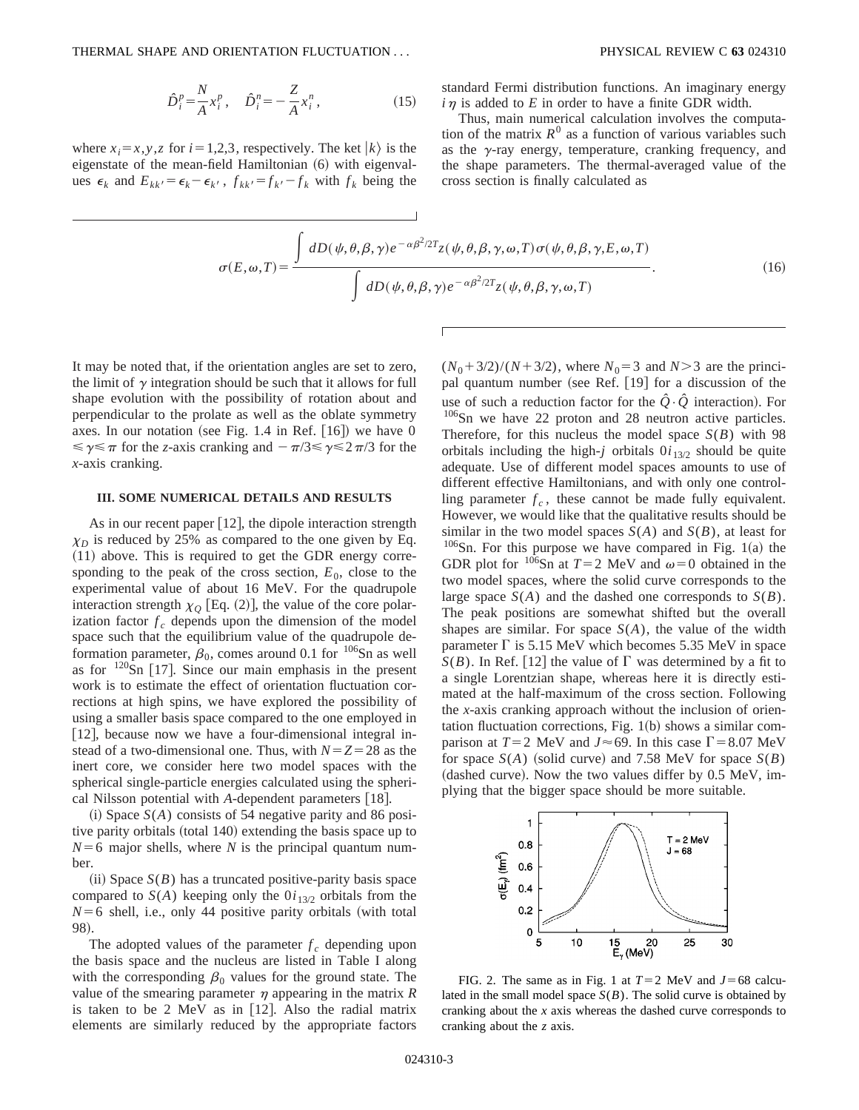where  $x_i = x, y, z$  for  $i = 1,2,3$ , respectively. The ket  $|k\rangle$  is the eigenstate of the mean-field Hamiltonian  $(6)$  with eigenvalues  $\epsilon_k$  and  $E_{kk'} = \epsilon_k - \epsilon_{k'}$ ,  $f_{kk'} = f_{k'} - f_k$  with  $f_k$  being the standard Fermi distribution functions. An imaginary energy  $i\eta$  is added to *E* in order to have a finite GDR width.

Thus, main numerical calculation involves the computation of the matrix  $R^0$  as a function of various variables such as the  $\gamma$ -ray energy, temperature, cranking frequency, and the shape parameters. The thermal-averaged value of the cross section is finally calculated as

$$
\sigma(E,\omega,T) = \frac{\int dD(\psi,\theta,\beta,\gamma)e^{-\alpha\beta^2/2T}z(\psi,\theta,\beta,\gamma,\omega,T)\sigma(\psi,\theta,\beta,\gamma,E,\omega,T)}{\int dD(\psi,\theta,\beta,\gamma)e^{-\alpha\beta^2/2T}z(\psi,\theta,\beta,\gamma,\omega,T)}.
$$
(16)

It may be noted that, if the orientation angles are set to zero, the limit of  $\gamma$  integration should be such that it allows for full shape evolution with the possibility of rotation about and perpendicular to the prolate as well as the oblate symmetry axes. In our notation (see Fig. 1.4 in Ref.  $[16]$ ) we have 0  $\leq \gamma \leq \pi$  for the *z*-axis cranking and  $-\pi/3 \leq \gamma \leq 2\pi/3$  for the *x*-axis cranking.

## **III. SOME NUMERICAL DETAILS AND RESULTS**

As in our recent paper  $[12]$ , the dipole interaction strength  $\chi_D$  is reduced by 25% as compared to the one given by Eq.  $(11)$  above. This is required to get the GDR energy corresponding to the peak of the cross section,  $E_0$ , close to the experimental value of about 16 MeV. For the quadrupole interaction strength  $\chi_0$  [Eq. (2)], the value of the core polarization factor  $f_c$  depends upon the dimension of the model space such that the equilibrium value of the quadrupole deformation parameter,  $\beta_0$ , comes around 0.1 for <sup>106</sup>Sn as well as for  $120$ Sn [17]. Since our main emphasis in the present work is to estimate the effect of orientation fluctuation corrections at high spins, we have explored the possibility of using a smaller basis space compared to the one employed in  $[12]$ , because now we have a four-dimensional integral instead of a two-dimensional one. Thus, with  $N=Z=28$  as the inert core, we consider here two model spaces with the spherical single-particle energies calculated using the spherical Nilsson potential with *A*-dependent parameters [18].

 $(i)$  Space  $S(A)$  consists of 54 negative parity and 86 positive parity orbitals (total 140) extending the basis space up to  $N=6$  major shells, where *N* is the principal quantum number.

 $(iii)$  Space  $S(B)$  has a truncated positive-parity basis space compared to  $S(A)$  keeping only the  $0i_{13/2}$  orbitals from the  $N=6$  shell, i.e., only 44 positive parity orbitals (with total 98).

The adopted values of the parameter  $f_c$  depending upon the basis space and the nucleus are listed in Table I along with the corresponding  $\beta_0$  values for the ground state. The value of the smearing parameter  $\eta$  appearing in the matrix  $R$ is taken to be 2 MeV as in  $[12]$ . Also the radial matrix elements are similarly reduced by the appropriate factors  $(N_0 + 3/2)/(N + 3/2)$ , where  $N_0 = 3$  and  $N > 3$  are the principal quantum number (see Ref.  $[19]$  for a discussion of the use of such a reduction factor for the  $\hat{Q} \cdot \hat{Q}$  interaction). For 106Sn we have 22 proton and 28 neutron active particles. Therefore, for this nucleus the model space *S*(*B*) with 98 orbitals including the high-*j* orbitals  $0i_{13/2}$  should be quite adequate. Use of different model spaces amounts to use of different effective Hamiltonians, and with only one controlling parameter  $f_c$ , these cannot be made fully equivalent. However, we would like that the qualitative results should be similar in the two model spaces  $S(A)$  and  $S(B)$ , at least for  $106$ Sn. For this purpose we have compared in Fig. 1(a) the GDR plot for <sup>106</sup>Sn at  $T=2$  MeV and  $\omega=0$  obtained in the two model spaces, where the solid curve corresponds to the large space  $S(A)$  and the dashed one corresponds to  $S(B)$ . The peak positions are somewhat shifted but the overall shapes are similar. For space  $S(A)$ , the value of the width parameter  $\Gamma$  is 5.15 MeV which becomes 5.35 MeV in space  $S(B)$ . In Ref. [12] the value of  $\Gamma$  was determined by a fit to a single Lorentzian shape, whereas here it is directly estimated at the half-maximum of the cross section. Following the *x*-axis cranking approach without the inclusion of orientation fluctuation corrections, Fig.  $1(b)$  shows a similar comparison at  $T=2$  MeV and  $J \approx 69$ . In this case  $\Gamma = 8.07$  MeV for space  $S(A)$  (solid curve) and 7.58 MeV for space  $S(B)$  $(dashed curve)$ . Now the two values differ by 0.5 MeV, implying that the bigger space should be more suitable.



FIG. 2. The same as in Fig. 1 at  $T=2$  MeV and  $J=68$  calculated in the small model space  $S(B)$ . The solid curve is obtained by cranking about the *x* axis whereas the dashed curve corresponds to cranking about the *z* axis.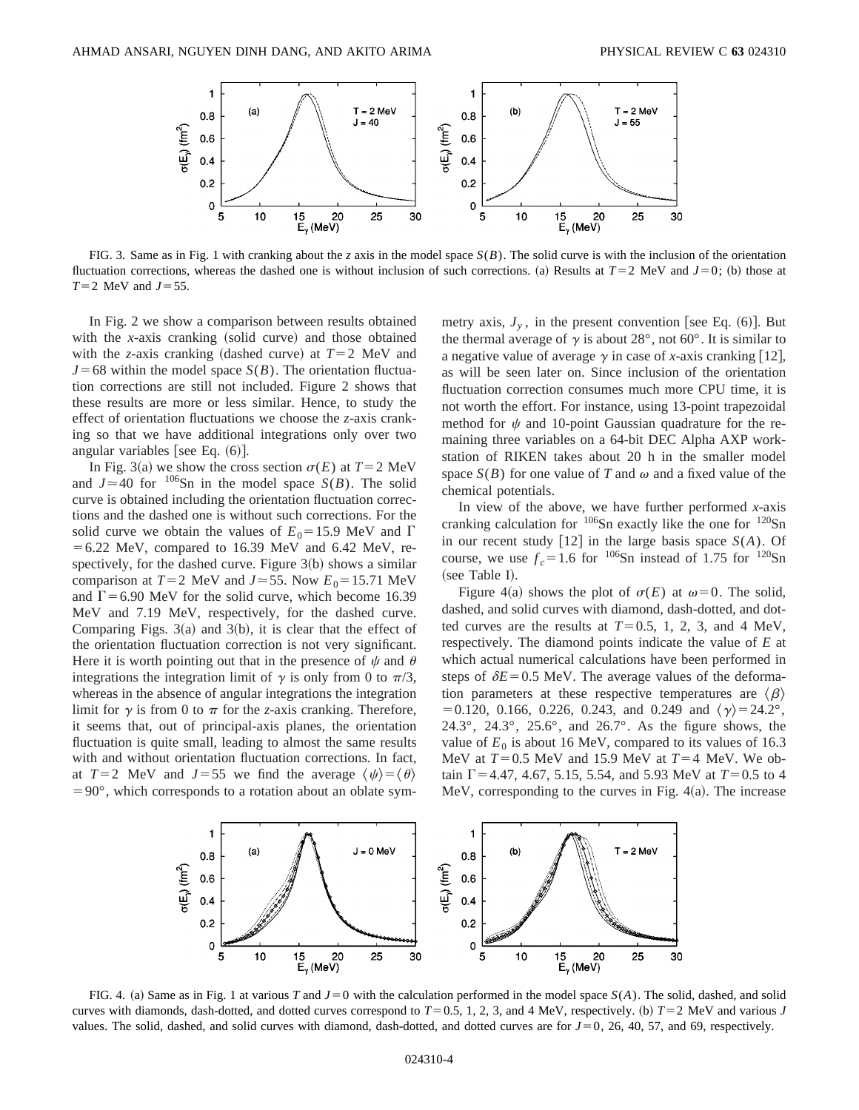

FIG. 3. Same as in Fig. 1 with cranking about the *z* axis in the model space *S*(*B*). The solid curve is with the inclusion of the orientation fluctuation corrections, whereas the dashed one is without inclusion of such corrections. (a) Results at  $T=2$  MeV and  $J=0$ ; (b) those at  $T=2$  MeV and  $J=55$ .

In Fig. 2 we show a comparison between results obtained with the *x*-axis cranking (solid curve) and those obtained with the *z*-axis cranking (dashed curve) at  $T=2$  MeV and  $J=68$  within the model space  $S(B)$ . The orientation fluctuation corrections are still not included. Figure 2 shows that these results are more or less similar. Hence, to study the effect of orientation fluctuations we choose the *z*-axis cranking so that we have additional integrations only over two angular variables [see Eq.  $(6)$ ].

In Fig. 3(a) we show the cross section  $\sigma(E)$  at  $T=2$  MeV and  $J \approx 40$  for <sup>106</sup>Sn in the model space *S(B)*. The solid curve is obtained including the orientation fluctuation corrections and the dashed one is without such corrections. For the solid curve we obtain the values of  $E_0 = 15.9$  MeV and  $\Gamma$  $=6.22$  MeV, compared to 16.39 MeV and 6.42 MeV, respectively, for the dashed curve. Figure  $3(b)$  shows a similar comparison at  $T=2$  MeV and  $J \approx 55$ . Now  $E_0 = 15.71$  MeV and  $\Gamma$  = 6.90 MeV for the solid curve, which become 16.39 MeV and 7.19 MeV, respectively, for the dashed curve. Comparing Figs.  $3(a)$  and  $3(b)$ , it is clear that the effect of the orientation fluctuation correction is not very significant. Here it is worth pointing out that in the presence of  $\psi$  and  $\theta$ integrations the integration limit of  $\gamma$  is only from 0 to  $\pi/3$ , whereas in the absence of angular integrations the integration limit for  $\gamma$  is from 0 to  $\pi$  for the *z*-axis cranking. Therefore, it seems that, out of principal-axis planes, the orientation fluctuation is quite small, leading to almost the same results with and without orientation fluctuation corrections. In fact, at  $T=2$  MeV and  $J=55$  we find the average  $\langle \psi \rangle = \langle \theta \rangle$  $=90^{\circ}$ , which corresponds to a rotation about an oblate symmetry axis,  $J_{y}$ , in the present convention [see Eq.  $(6)$ ]. But the thermal average of  $\gamma$  is about 28°, not 60°. It is similar to a negative value of average  $\gamma$  in case of *x*-axis cranking [12], as will be seen later on. Since inclusion of the orientation fluctuation correction consumes much more CPU time, it is not worth the effort. For instance, using 13-point trapezoidal method for  $\psi$  and 10-point Gaussian quadrature for the remaining three variables on a 64-bit DEC Alpha AXP workstation of RIKEN takes about 20 h in the smaller model space  $S(B)$  for one value of *T* and  $\omega$  and a fixed value of the chemical potentials.

In view of the above, we have further performed *x*-axis cranking calculation for  $106$ Sn exactly like the one for  $120$ Sn in our recent study  $\lceil 12 \rceil$  in the large basis space  $S(A)$ . Of course, we use  $f_c = 1.6$  for <sup>106</sup>Sn instead of 1.75 for <sup>120</sup>Sn (see Table I).

Figure 4(a) shows the plot of  $\sigma(E)$  at  $\omega=0$ . The solid, dashed, and solid curves with diamond, dash-dotted, and dotted curves are the results at  $T=0.5, 1, 2, 3$ , and 4 MeV, respectively. The diamond points indicate the value of *E* at which actual numerical calculations have been performed in steps of  $\delta E$ =0.5 MeV. The average values of the deformation parameters at these respective temperatures are  $\langle \beta \rangle$  $=0.120, 0.166, 0.226, 0.243,$  and 0.249 and  $\langle \gamma \rangle = 24.2^{\circ}$ , 24.3°, 24.3°, 25.6°, and 26.7°. As the figure shows, the value of  $E_0$  is about 16 MeV, compared to its values of 16.3 MeV at  $T=0.5$  MeV and 15.9 MeV at  $T=4$  MeV. We obtain  $\Gamma$  = 4.47, 4.67, 5.15, 5.54, and 5.93 MeV at  $T=0.5$  to 4 MeV, corresponding to the curves in Fig.  $4(a)$ . The increase



FIG. 4. (a) Same as in Fig. 1 at various *T* and  $J=0$  with the calculation performed in the model space  $S(A)$ . The solid, dashed, and solid curves with diamonds, dash-dotted, and dotted curves correspond to  $T=0.5$ , 1, 2, 3, and 4 MeV, respectively. (b)  $T=2$  MeV and various *J* values. The solid, dashed, and solid curves with diamond, dash-dotted, and dotted curves are for  $J=0$ , 26, 40, 57, and 69, respectively.